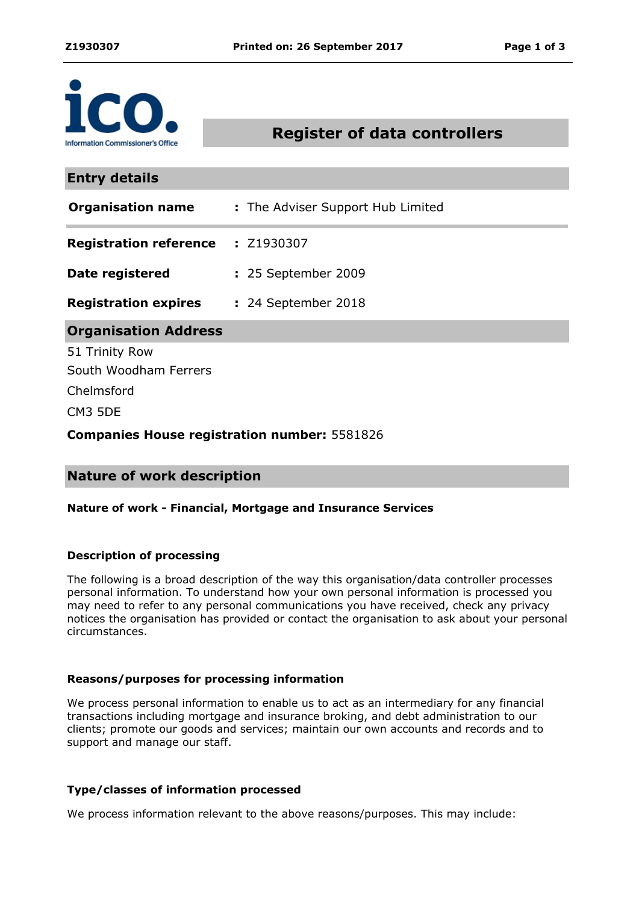

# **Register of data controllers**

| <b>Entry details</b>                                |                                   |
|-----------------------------------------------------|-----------------------------------|
| <b>Organisation name</b>                            | : The Adviser Support Hub Limited |
| <b>Registration reference : Z1930307</b>            |                                   |
| Date registered                                     | : 25 September 2009               |
| <b>Registration expires : 24 September 2018</b>     |                                   |
| <b>Organisation Address</b>                         |                                   |
| 51 Trinity Row                                      |                                   |
| South Woodham Ferrers                               |                                   |
| Chelmsford                                          |                                   |
| CM3 5DE                                             |                                   |
| <b>Companies House registration number: 5581826</b> |                                   |

## **Nature of work description**

#### **Nature of work - Financial, Mortgage and Insurance Services**

#### **Description of processing**

The following is a broad description of the way this organisation/data controller processes personal information. To understand how your own personal information is processed you may need to refer to any personal communications you have received, check any privacy notices the organisation has provided or contact the organisation to ask about your personal circumstances.

#### **Reasons/purposes for processing information**

We process personal information to enable us to act as an intermediary for any financial transactions including mortgage and insurance broking, and debt administration to our clients; promote our goods and services; maintain our own accounts and records and to support and manage our staff.

#### **Type/classes of information processed**

We process information relevant to the above reasons/purposes. This may include: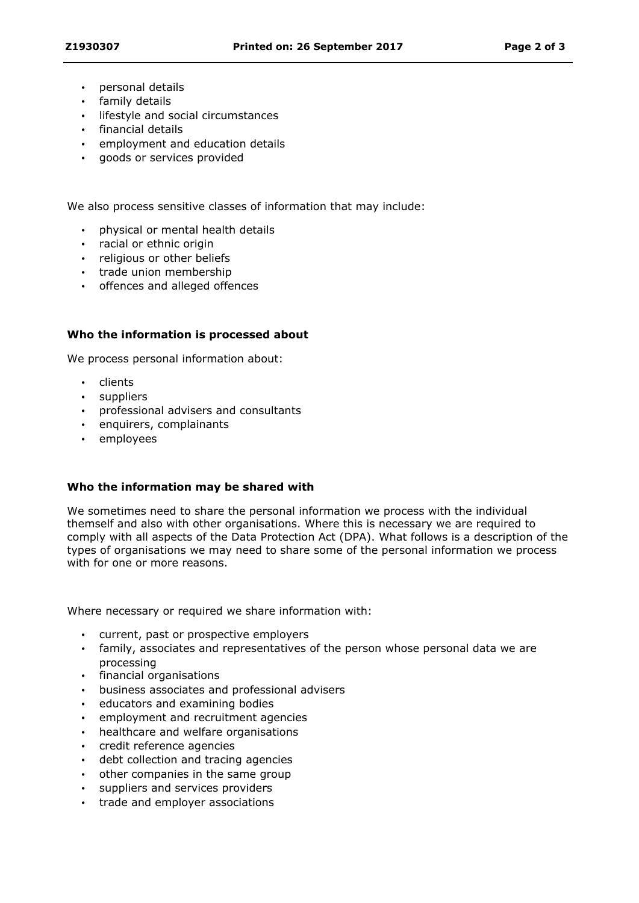- personal details
- family details
- **·** lifestyle and social circumstances
- financial details
- employment and education details
- qoods or services provided

We also process sensitive classes of information that may include:

- physical or mental health details
- racial or ethnic origin
- religious or other beliefs
- trade union membership
- offences and alleged offences

## **Who the information is processed about**

We process personal information about:

- clients
- suppliers
- professional advisers and consultants
- enquirers, complainants
- employees

#### **Who the information may be shared with**

We sometimes need to share the personal information we process with the individual themself and also with other organisations. Where this is necessary we are required to comply with all aspects of the Data Protection Act (DPA). What follows is a description of the types of organisations we may need to share some of the personal information we process with for one or more reasons.

Where necessary or required we share information with:

- current, past or prospective employers
- family, associates and representatives of the person whose personal data we are processing
- financial organisations
- business associates and professional advisers
- educators and examining bodies
- employment and recruitment agencies
- healthcare and welfare organisations
- credit reference agencies
- debt collection and tracing agencies
- other companies in the same group
- suppliers and services providers
- trade and employer associations